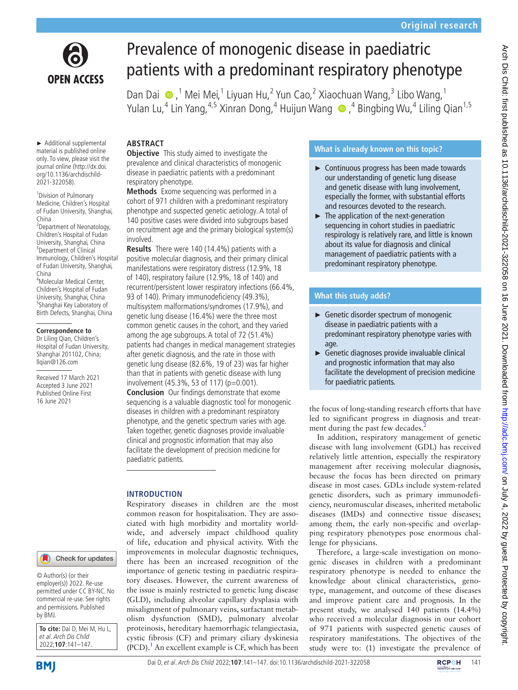

# Prevalence of monogenic disease in paediatric patients with a predominant respiratory phenotype

DanDai  $\bigcirc$ ,<sup>1</sup> Mei Mei,<sup>1</sup> Liyuan Hu,<sup>2</sup> Yun Cao,<sup>2</sup> Xiaochuan Wang,<sup>3</sup> Libo Wang,<sup>1</sup> YulanLu,<sup>4</sup> Lin Yang,<sup>4,5</sup> Xinran Dong,<sup>4</sup> Huijun Wang ●,<sup>4</sup> Bingbing Wu,<sup>4</sup> Liling Qian<sup>1,5</sup>

► Additional supplemental material is published online only. To view, please visit the journal online ([http://dx.doi.](http://dx.doi.org/10.1136/archdischild-2021-322058) [org/10.1136/archdischild-](http://dx.doi.org/10.1136/archdischild-2021-322058)[2021-322058\)](http://dx.doi.org/10.1136/archdischild-2021-322058).

<sup>1</sup> Division of Pulmonary Medicine, Children's Hospital of Fudan University, Shanghai, China

<sup>2</sup> Department of Neonatology, Children's Hospital of Fudan University, Shanghai, China <sup>3</sup>Department of Clinical Immunology, Children's Hospital of Fudan University, Shanghai, China

4 Molecular Medical Center, Children's Hospital of Fudan University, Shanghai, China <sup>5</sup>Shanghai Key Laboratory of Birth Defects, Shanghai, China

#### **Correspondence to**

Dr Liling Qian, Children's Hospital of Fudan University, Shanghai 201102, China; llqian@126.com

Received 17 March 2021 Accepted 3 June 2021 Published Online First 16 June 2021

#### Check for updates

© Author(s) (or their employer(s)) 2022. Re-use permitted under CC BY-NC. No commercial re-use. See rights and permissions. Published by BMJ.

**To cite:** Dai D, Mei M, Hu L, et al. Arch Dis Child 2022;**107**:141–147.

## **ABSTRACT**

**Objective** This study aimed to investigate the prevalence and clinical characteristics of monogenic disease in paediatric patients with a predominant respiratory phenotype.

**Methods** Exome sequencing was performed in a cohort of 971 children with a predominant respiratory phenotype and suspected genetic aetiology. A total of 140 positive cases were divided into subgroups based on recruitment age and the primary biological system(s) involved.

**Results** There were 140 (14.4%) patients with a positive molecular diagnosis, and their primary clinical manifestations were respiratory distress (12.9%, 18 of 140), respiratory failure (12.9%, 18 of 140) and recurrent/persistent lower respiratory infections (66.4%, 93 of 140). Primary immunodeficiency (49.3%), multisystem malformations/syndromes (17.9%), and genetic lung disease (16.4%) were the three most common genetic causes in the cohort, and they varied among the age subgroups. A total of 72 (51.4%) patients had changes in medical management strategies after genetic diagnosis, and the rate in those with genetic lung disease (82.6%, 19 of 23) was far higher than that in patients with genetic disease with lung involvement (45.3%, 53 of 117) (p=0.001).

**Conclusion** Our findings demonstrate that exome sequencing is a valuable diagnostic tool for monogenic diseases in children with a predominant respiratory phenotype, and the genetic spectrum varies with age. Taken together, genetic diagnoses provide invaluable clinical and prognostic information that may also facilitate the development of precision medicine for paediatric patients.

## **INTRODUCTION**

Respiratory diseases in children are the most common reason for hospitalisation. They are associated with high morbidity and mortality worldwide, and adversely impact childhood quality of life, education and physical activity. With the improvements in molecular diagnostic techniques, there has been an increased recognition of the importance of genetic testing in paediatric respiratory diseases. However, the current awareness of the issue is mainly restricted to genetic lung disease (GLD), including alveolar capillary dysplasia with misalignment of pulmonary veins, surfactant metabolism dysfunction (SMD), pulmonary alveolar proteinosis, hereditary haemorrhagic telangiectasia, cystic fibrosis (CF) and primary ciliary dyskinesia  $(PCD).<sup>1</sup>$  $(PCD).<sup>1</sup>$  $(PCD).<sup>1</sup>$  An excellent example is CF, which has been

## **What is already known on this topic?**

- ► Continuous progress has been made towards our understanding of genetic lung disease and genetic disease with lung involvement, especially the former, with substantial efforts and resources devoted to the research.
- ► The application of the next-generation sequencing in cohort studies in paediatric respirology is relatively rare, and little is known about its value for diagnosis and clinical management of paediatric patients with a predominant respiratory phenotype.

## **What this study adds?**

- ► Genetic disorder spectrum of monogenic disease in paediatric patients with a predominant respiratory phenotype varies with age.
- ► Genetic diagnoses provide invaluable clinical and prognostic information that may also facilitate the development of precision medicine for paediatric patients.

the focus of long-standing research efforts that have led to significant progress in diagnosis and treatment during the past few decades.<sup>2</sup>

In addition, respiratory management of genetic disease with lung involvement (GDL) has received relatively little attention, especially the respiratory management after receiving molecular diagnosis, because the focus has been directed on primary disease in most cases. GDLs include system-related genetic disorders, such as primary immunodeficiency, neuromuscular diseases, inherited metabolic diseases (IMDs) and connective tissue diseases; among them, the early non-specific and overlapping respiratory phenotypes pose enormous challenge for physicians.

Therefore, a large-scale investigation on monogenic diseases in children with a predominant respiratory phenotype is needed to enhance the knowledge about clinical characteristics, genotype, management, and outcome of these diseases and improve patient care and prognosis. In the present study, we analysed 140 patients (14.4%) who received a molecular diagnosis in our cohort of 971 patients with suspected genetic causes of respiratory manifestations. The objectives of the study were to: (1) investigate the prevalence of

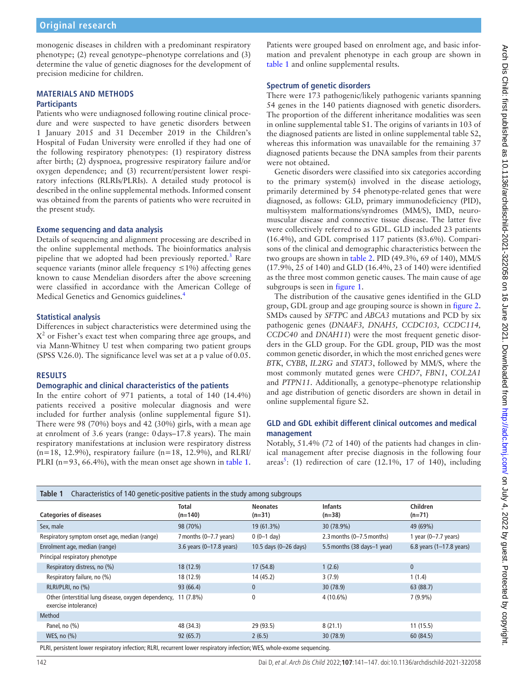## **Original research**

monogenic diseases in children with a predominant respiratory phenotype; (2) reveal genotype–phenotype correlations and (3) determine the value of genetic diagnoses for the development of precision medicine for children.

#### **MATERIALS AND METHODS Participants**

Patients who were undiagnosed following routine clinical procedure and were suspected to have genetic disorders between 1 January 2015 and 31 December 2019 in the Children's Hospital of Fudan University were enrolled if they had one of the following respiratory phenotypes: (1) respiratory distress after birth; (2) dyspnoea, progressive respiratory failure and/or oxygen dependence; and (3) recurrent/persistent lower respiratory infections (RLRIs/PLRIs). A detailed study protocol is described in the [online supplemental methods](https://dx.doi.org/10.1136/archdischild-2021-322058). Informed consent was obtained from the parents of patients who were recruited in the present study.

#### **Exome sequencing and data analysis**

Details of sequencing and alignment processing are described in the [online supplemental methods](https://dx.doi.org/10.1136/archdischild-2021-322058). The bioinformatics analysis pipeline that we adopted had been previously reported.<sup>[3](#page-5-2)</sup> Rare sequence variants (minor allele frequency  $\leq 1\%$ ) affecting genes known to cause Mendelian disorders after the above screening were classified in accordance with the American College of Medical Genetics and Genomics guidelines.<sup>4</sup>

## **Statistical analysis**

Differences in subject characteristics were determined using the  $X^2$  or Fisher's exact test when comparing three age groups, and via Mann-Whitney U test when comparing two patient groups (SPSS V.26.0). The significance level was set at a p value of0.05.

## **RESULTS**

#### **Demographic and clinical characteristics of the patients**

In the entire cohort of 971 patients, a total of 140 (14.4%) patients received a positive molecular diagnosis and were included for further analysis [\(online supplemental figure S1](https://dx.doi.org/10.1136/archdischild-2021-322058)). There were 98 (70%) boys and 42 (30%) girls, with a mean age at enrolment of 3.6 years (range: 0days–17.8 years). The main respiratory manifestations at inclusion were respiratory distress  $(n=18, 12.9\%)$ , respiratory failure  $(n=18, 12.9\%)$ , and RLRI PLRI (n=93, 66.4%), with the mean onset age shown in [table](#page-1-0) 1.

Patients were grouped based on enrolment age, and basic information and prevalent phenotype in each group are shown in [table](#page-1-0) 1 and [online supplemental results](https://dx.doi.org/10.1136/archdischild-2021-322058).

## **Spectrum of genetic disorders**

There were 173 pathogenic/likely pathogenic variants spanning 54 genes in the 140 patients diagnosed with genetic disorders. The proportion of the different inheritance modalities was seen in [online supplemental table S1](https://dx.doi.org/10.1136/archdischild-2021-322058). The origins of variants in 103 of the diagnosed patients are listed in [online supplemental table S2,](https://dx.doi.org/10.1136/archdischild-2021-322058) whereas this information was unavailable for the remaining 37 diagnosed patients because the DNA samples from their parents were not obtained.

Genetic disorders were classified into six categories according to the primary system(s) involved in the disease aetiology, primarily determined by 54 phenotype-related genes that were diagnosed, as follows: GLD, primary immunodeficiency (PID), multisystem malformations/syndromes (MM/S), IMD, neuromuscular disease and connective tissue disease. The latter five were collectively referred to as GDL. GLD included 23 patients (16.4%), and GDL comprised 117 patients (83.6%). Comparisons of the clinical and demographic characteristics between the two groups are shown in [table](#page-2-0) 2. PID (49.3%, 69 of 140), MM/S (17.9%, 25 of 140) and GLD (16.4%, 23 of 140) were identified as the three most common genetic causes. The main cause of age subgroups is seen in [figure](#page-2-1) 1.

The distribution of the causative genes identified in the GLD group, GDL group and age grouping source is shown in [figure](#page-3-0) 2. SMDs caused by *SFTPC* and *ABCA3* mutations and PCD by six pathogenic genes (*DNAAF3, DNAH5, CCDC103, CCDC114, CCDC40* and *DNAH11*) were the most frequent genetic disorders in the GLD group. For the GDL group, PID was the most common genetic disorder, in which the most enriched genes were *BTK*, *CYBB*, *IL2RG* and *STAT3*, followed by MM/S, where the most commonly mutated genes were *CHD7*, *FBN1*, *COL2A1* and *PTPN11*. Additionally, a genotype–phenotype relationship and age distribution of genetic disorders are shown in detail in [online supplemental figure S2.](https://dx.doi.org/10.1136/archdischild-2021-322058)

## **GLD and GDL exhibit different clinical outcomes and medical management**

Notably, 51.4% (72 of 140) of the patients had changes in clinical management after precise diagnosis in the following four areas<sup>5</sup>: (1) redirection of care (12.1%, 17 of 140), including

<span id="page-1-0"></span>

| Table 1<br>Characteristics of 140 genetic-positive patients in the study among subgroups                             |                            |                             |                               |                                    |
|----------------------------------------------------------------------------------------------------------------------|----------------------------|-----------------------------|-------------------------------|------------------------------------|
| <b>Categories of diseases</b>                                                                                        | <b>Total</b><br>$(n=140)$  | <b>Neonates</b><br>$(n=31)$ | <b>Infants</b><br>$(n=38)$    | Children<br>$(n=71)$               |
| Sex, male                                                                                                            | 98 (70%)                   | 19 (61.3%)                  | 30 (78.9%)                    | 49 (69%)                           |
| Respiratory symptom onset age, median (range)                                                                        | 7 months (0-7.7 years)     | $0(0-1)$ day)               | $2.3$ months $(0-7.5$ months) | 1 year $(0-7.7$ years)             |
| Enrolment age, median (range)                                                                                        | 3.6 years $(0-17.8$ years) | 10.5 days (0-26 days)       | 5.5 months (38 days-1 year)   | 6.8 years $(1-17.8 \text{ years})$ |
| Principal respiratory phenotype                                                                                      |                            |                             |                               |                                    |
| Respiratory distress, no (%)                                                                                         | 18 (12.9)                  | 17(54.8)                    | 1(2.6)                        | $\mathbf{0}$                       |
| Respiratory failure, no (%)                                                                                          | 18 (12.9)                  | 14 (45.2)                   | 3(7.9)                        | 1(1.4)                             |
| RLRI/PLRI, no (%)                                                                                                    | 93 (66.4)                  | $\mathbf{0}$                | 30(78.9)                      | 63(88.7)                           |
| Other (interstitial lung disease, oxygen dependency,<br>exercise intolerance)                                        | 11 (7.8%)                  | 0                           | 4 (10.6%)                     | $7(9.9\%)$                         |
| Method                                                                                                               |                            |                             |                               |                                    |
| Panel, no $(\%)$                                                                                                     | 48 (34.3)                  | 29 (93.5)                   | 8(21.1)                       | 11(15.5)                           |
| WES, no $(\%)$                                                                                                       | 92(65.7)                   | 2(6.5)                      | 30(78.9)                      | 60 (84.5)                          |
| DLDL particular lower respiratory infection. DLDL requirement lower recoirctory infection WES whole events comparing |                            |                             |                               |                                    |

PLRI, persistent lower respiratory infection; RLRI, recurrent lower respiratory infection; WES, whole-exome sequencing.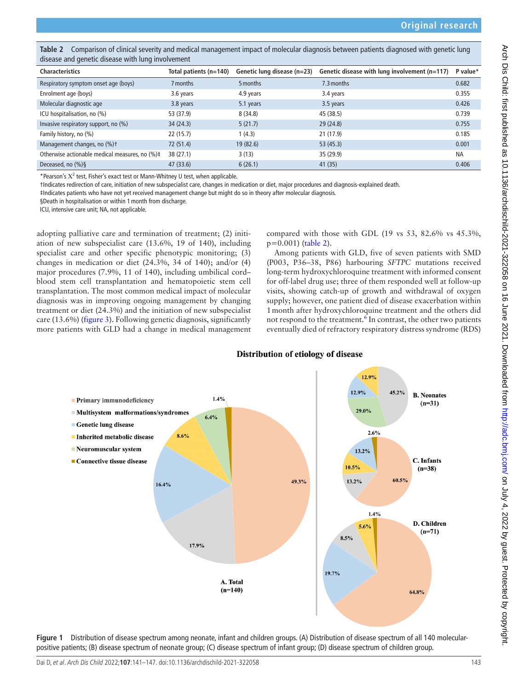<span id="page-2-0"></span>Table 2 Comparison of clinical severity and medical management impact of molecular diagnosis between patients diagnosed with genetic lung disease and genetic disease with lung involvement

| <b>Characteristics</b>                         | Total patients (n=140) | Genetic lung disease (n=23) | Genetic disease with lung involvement (n=117) | P value*  |
|------------------------------------------------|------------------------|-----------------------------|-----------------------------------------------|-----------|
| Respiratory symptom onset age (boys)           | 7 months               | 5 months                    | 7.3 months                                    | 0.682     |
| Enrolment age (boys)                           | 3.6 years              | 4.9 years                   | 3.4 years                                     | 0.355     |
| Molecular diagnostic age                       | 3.8 years              | 5.1 years                   | 3.5 years                                     | 0.426     |
| ICU hospitalisation, no (%)                    | 53 (37.9)              | 8(34.8)                     | 45 (38.5)                                     | 0.739     |
| Invasive respiratory support, no (%)           | 34(24.3)               | 5(21.7)                     | 29(24.8)                                      | 0.755     |
| Family history, no (%)                         | 22(15.7)               | 1(4.3)                      | 21 (17.9)                                     | 0.185     |
| Management changes, no (%)t                    | 72 (51.4)              | 19(82.6)                    | 53(45.3)                                      | 0.001     |
| Otherwise actionable medical measures, no (%)# | 38 (27.1)              | 3(13)                       | 35 (29.9)                                     | <b>NA</b> |
| Deceased, no $(\%)\$                           | 47 (33.6)              | 6(26.1)                     | 41(35)                                        | 0.406     |

\*Pearson's  $X^2$  test, Fisher's exact test or Mann-Whitney U test, when applicable.

†Indicates redirection of care, initiation of new subspecialist care, changes in medication or diet, major procedures and diagnosis-explained death.

‡Indicates patients who have not yet received management change but might do so in theory after molecular diagnosis.

§Death in hospitalisation or within 1month from discharge.

ICU, intensive care unit; NA, not applicable.

adopting palliative care and termination of treatment; (2) initiation of new subspecialist care (13.6%, 19 of 140), including specialist care and other specific phenotypic monitoring; (3) changes in medication or diet (24.3%, 34 of 140); and/or (4) major procedures (7.9%, 11 of 140), including umbilical cord– blood stem cell transplantation and hematopoietic stem cell transplantation. The most common medical impact of molecular diagnosis was in improving ongoing management by changing treatment or diet (24.3%) and the initiation of new subspecialist care (13.6%) [\(figure](#page-4-0) 3). Following genetic diagnosis, significantly more patients with GLD had a change in medical management compared with those with GDL (19 vs 53, 82.6% vs 45.3%, p=0.001) [\(table](#page-2-0) 2).

Among patients with GLD, five of seven patients with SMD (P003, P36–38, P86) harbouring *SFTPC* mutations received long-term hydroxychloroquine treatment with informed consent for off-label drug use; three of them responded well at follow-up visits, showing catch-up of growth and withdrawal of oxygen supply; however, one patient died of disease exacerbation within 1month after hydroxychloroquine treatment and the others did not respond to the treatment.<sup>[6](#page-5-5)</sup> In contrast, the other two patients eventually died of refractory respiratory distress syndrome (RDS)



Distribution of etiology of disease

#### <span id="page-2-1"></span>**Figure 1** Distribution of disease spectrum among neonate, infant and children groups. (A) Distribution of disease spectrum of all 140 molecularpositive patients; (B) disease spectrum of neonate group; (C) disease spectrum of infant group; (D) disease spectrum of children group.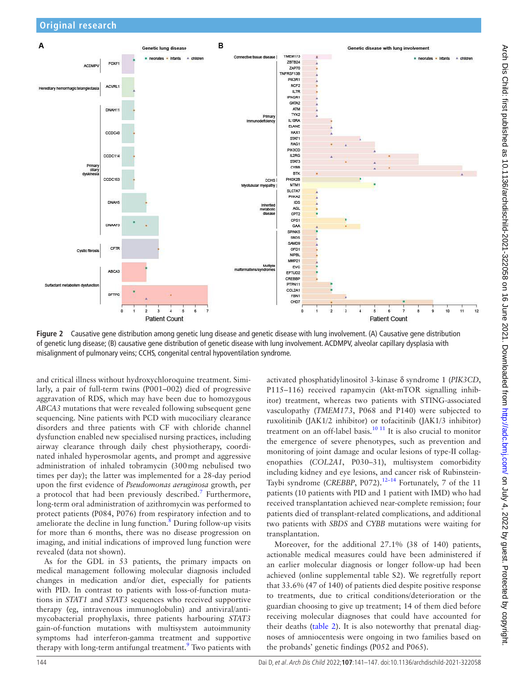

<span id="page-3-0"></span>**Figure 2** Causative gene distribution among genetic lung disease and genetic disease with lung involvement. (A) Causative gene distribution of genetic lung disease; (B) causative gene distribution of genetic disease with lung involvement. ACDMPV, alveolar capillary dysplasia with misalignment of pulmonary veins; CCHS, congenital central hypoventilation syndrome.

and critical illness without hydroxychloroquine treatment. Similarly, a pair of full-term twins (P001–002) died of progressive aggravation of RDS, which may have been due to homozygous *ABCA3* mutations that were revealed following subsequent gene sequencing. Nine patients with PCD with mucociliary clearance disorders and three patients with CF with chloride channel dysfunction enabled new specialised nursing practices, including airway clearance through daily chest physiotherapy, coordinated inhaled hyperosmolar agents, and prompt and aggressive administration of inhaled tobramycin (300mg nebulised two times per day); the latter was implemented for a 28-day period upon the first evidence of *Pseudomonas aeruginosa* growth, per a protocol that had been previously described.<sup>[7](#page-5-6)</sup> Furthermore, long-term oral administration of azithromycin was performed to protect patients (P084, P076) from respiratory infection and to ameliorate the decline in lung function. $\frac{8}{3}$  $\frac{8}{3}$  $\frac{8}{3}$  During follow-up visits for more than 6 months, there was no disease progression on imaging, and initial indications of improved lung function were revealed (data not shown).

As for the GDL in 53 patients, the primary impacts on medical management following molecular diagnosis included changes in medication and/or diet, especially for patients with PID. In contrast to patients with loss-of-function mutations in *STAT1* and *STAT3* sequences who received supportive therapy (eg, intravenous immunoglobulin) and antiviral/antimycobacterial prophylaxis, three patients harbouring *STAT3* gain-of-function mutations with multisystem autoimmunity symptoms had interferon-gamma treatment and supportive therapy with long-term antifungal treatment.<sup>[9](#page-5-8)</sup> Two patients with activated phosphatidylinositol 3-kinase δ syndrome 1 (*PIK3CD*, P115–116) received rapamycin (Akt-mTOR signalling inhibitor) treatment, whereas two patients with STING-associated vasculopathy (*TMEM173*, P068 and P140) were subjected to ruxolitinib (JAK1/2 inhibitor) or tofacitinib (JAK1/3 inhibitor) treatment on an off-label basis.<sup>[10 11](#page-5-9)</sup> It is also crucial to monitor the emergence of severe phenotypes, such as prevention and monitoring of joint damage and ocular lesions of type-II collagenopathies (*COL2A1*, P030–31), multisystem comorbidity including kidney and eye lesions, and cancer risk of Rubinstein-Taybi syndrome (*CREBBP*, P072).<sup>12-14</sup> Fortunately, 7 of the 11 patients (10 patients with PID and 1 patient with IMD) who had received transplantation achieved near-complete remission; four patients died of transplant-related complications, and additional two patients with *SBDS* and *CYBB* mutations were waiting for transplantation.

Moreover, for the additional 27.1% (38 of 140) patients, actionable medical measures could have been administered if an earlier molecular diagnosis or longer follow-up had been achieved ([online supplemental table S2\)](https://dx.doi.org/10.1136/archdischild-2021-322058). We regretfully report that 33.6% (47 of 140) of patients died despite positive response to treatments, due to critical conditions/deterioration or the guardian choosing to give up treatment; 14 of them died before receiving molecular diagnoses that could have accounted for their deaths [\(table](#page-2-0) 2). It is also noteworthy that prenatal diagnoses of amniocentesis were ongoing in two families based on the probands' genetic findings (P052 and P065).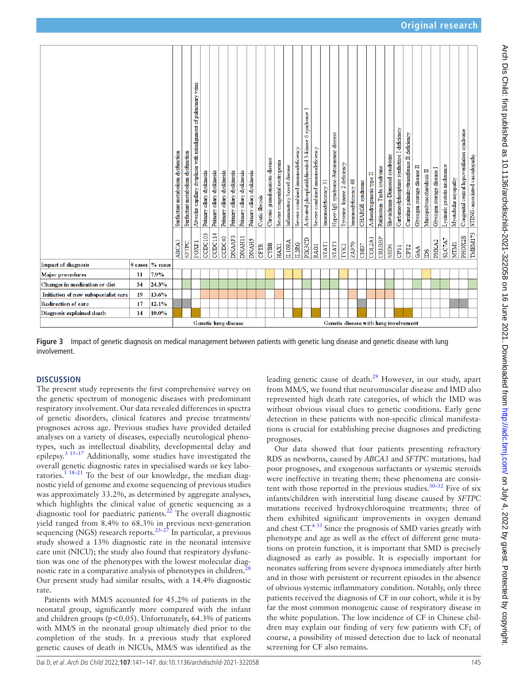| TMEM173<br>CCDC103<br>CCDC114<br>DNAAF3<br><b>DNAH11</b><br>PHOX2B<br>CCDC40<br>CREBBP<br>COL2A1<br><b>PIK3CD</b><br>SLC7A7<br><b>DNAHS</b><br>PHKA2<br>IL10RA<br>FOXF1<br>SFTPC<br><b>STAT3</b><br>ZAP70<br><b>MTM1</b><br>IL2RG<br><b>STAT1</b><br><b>CYBB</b><br>CHD7<br><b>HAX1</b><br>TYK2<br><b>CFTR</b><br><b>RAG1</b><br>SBDS<br>CPS1<br>CPT <sub>2</sub><br>GAA<br>ms<br>$%$ cases<br><b>Impact of diagnosis</b><br>$#$ cases<br>7.9%<br>Major procedures<br>11 | ABCA3 |
|--------------------------------------------------------------------------------------------------------------------------------------------------------------------------------------------------------------------------------------------------------------------------------------------------------------------------------------------------------------------------------------------------------------------------------------------------------------------------|-------|
|                                                                                                                                                                                                                                                                                                                                                                                                                                                                          |       |
|                                                                                                                                                                                                                                                                                                                                                                                                                                                                          |       |
| Changes in medication or diet<br>24.3%<br>34                                                                                                                                                                                                                                                                                                                                                                                                                             |       |
| 19<br>13.6%<br>Initiation of new subspecialist care                                                                                                                                                                                                                                                                                                                                                                                                                      |       |
| 17<br>12.1%<br><b>Redirection of care</b>                                                                                                                                                                                                                                                                                                                                                                                                                                |       |
| Diagnosis explained death<br>14<br>$10.0\%$                                                                                                                                                                                                                                                                                                                                                                                                                              |       |

<span id="page-4-0"></span>**Figure 3** Impact of genetic diagnosis on medical management between patients with genetic lung disease and genetic disease with lung involvement.

## **DISCUSSION**

The present study represents the first comprehensive survey on the genetic spectrum of monogenic diseases with predominant respiratory involvement. Our data revealed differences in spectra of genetic disorders, clinical features and precise treatments/ prognoses across age. Previous studies have provided detailed analyses on a variety of diseases, especially neurological phenotypes, such as intellectual disability, developmental delay and epilepsy.[3 15–17](#page-5-2) Additionally, some studies have investigated the overall genetic diagnostic rates in specialised wards or key laboratories.<sup>5 18-21</sup> To the best of our knowledge, the median diagnostic yield of genome and exome sequencing of previous studies was approximately 33.2%, as determined by aggregate analyses, which highlights the clinical value of genetic sequencing as a diagnostic tool for paediatric patients.<sup>[22](#page-6-0)</sup> The overall diagnostic yield ranged from 8.4% to 68.3% in previous next-generation sequencing (NGS) research reports. $23-27$  In particular, a previous study showed a 13% diagnostic rate in the neonatal intensive care unit (NICU); the study also found that respiratory dysfunction was one of the phenotypes with the lowest molecular diagnostic rate in a comparative analysis of phenotypes in children.<sup>2</sup> Our present study had similar results, with a 14.4% diagnostic rate.

Patients with MM/S accounted for 45.2% of patients in the neonatal group, significantly more compared with the infant and children groups ( $p < 0.05$ ). Unfortunately, 64.3% of patients with MM/S in the neonatal group ultimately died prior to the completion of the study. In a previous study that explored genetic causes of death in NICUs, MM/S was identified as the

leading genetic cause of death.<sup>[29](#page-6-3)</sup> However, in our study, apart from MM/S, we found that neuromuscular disease and IMD also represented high death rate categories, of which the IMD was without obvious visual clues to genetic conditions. Early gene detection in these patients with non-specific clinical manifestations is crucial for establishing precise diagnoses and predicting prognoses.

Our data showed that four patients presenting refractory RDS as newborns, caused by *ABCA3* and *SFTPC* mutations, had poor prognoses, and exogenous surfactants or systemic steroids were ineffective in treating them; these phenomena are consistent with those reported in the previous studies.<sup>30–32</sup> Five of six infants/children with interstitial lung disease caused by *SFTPC* mutations received hydroxychloroquine treatments; three of them exhibited significant improvements in oxygen demand and chest CT.<sup>633</sup> Since the prognosis of SMD varies greatly with phenotype and age as well as the effect of different gene mutations on protein function, it is important that SMD is precisely diagnosed as early as possible. It is especially important for neonates suffering from severe dyspnoea immediately after birth and in those with persistent or recurrent episodes in the absence of obvious systemic inflammatory condition. Notably, only three patients received the diagnosis of CF in our cohort, while it is by far the most common monogenic cause of respiratory disease in the white population. The low incidence of CF in Chinese children may explain our finding of very few patients with CF; of course, a possibility of missed detection due to lack of neonatal screening for CF also remains.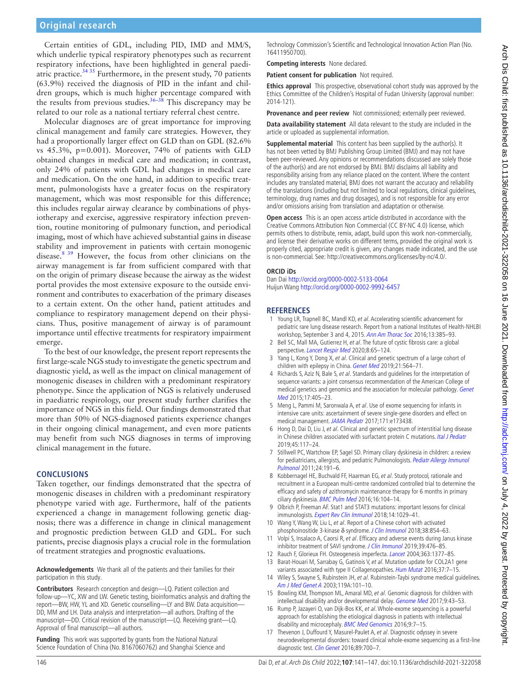Certain entities of GDL, including PID, IMD and MM/S, which underlie typical respiratory phenotypes such as recurrent respiratory infections, have been highlighted in general paediatric practice. $3435$  Furthermore, in the present study, 70 patients (63.9%) received the diagnosis of PID in the infant and children groups, which is much higher percentage compared with the results from previous studies.<sup>36–38</sup> This discrepancy may be related to our role as a national tertiary referral chest centre.

Molecular diagnoses are of great importance for improving clinical management and family care strategies. However, they had a proportionally larger effect on GLD than on GDL (82.6% vs 45.3%, p=0.001). Moreover, 74% of patients with GLD obtained changes in medical care and medication; in contrast, only 24% of patients with GDL had changes in medical care and medication. On the one hand, in addition to specific treatment, pulmonologists have a greater focus on the respiratory management, which was most responsible for this difference; this includes regular airway clearance by combinations of physiotherapy and exercise, aggressive respiratory infection prevention, routine monitoring of pulmonary function, and periodical imaging, most of which have achieved substantial gains in disease stability and improvement in patients with certain monogenic disease.<sup>8 39</sup> However, the focus from other clinicians on the airway management is far from sufficient compared with that on the origin of primary disease because the airway as the widest portal provides the most extensive exposure to the outside environment and contributes to exacerbation of the primary diseases to a certain extent. On the other hand, patient attitudes and compliance to respiratory management depend on their physicians. Thus, positive management of airway is of paramount importance until effective treatments for respiratory impairment emerge.

To the best of our knowledge, the present report represents the first large-scale NGS study to investigate the genetic spectrum and diagnostic yield, as well as the impact on clinical management of monogenic diseases in children with a predominant respiratory phenotype. Since the application of NGS is relatively underused in paediatric respirology, our present study further clarifies the importance of NGS in this field. Our findings demonstrated that more than 50% of NGS-diagnosed patients experience changes in their ongoing clinical management, and even more patients may benefit from such NGS diagnoses in terms of improving clinical management in the future.

## **CONCLUSIONS**

Taken together, our findings demonstrated that the spectra of monogenic diseases in children with a predominant respiratory phenotype varied with age. Furthermore, half of the patients experienced a change in management following genetic diagnosis; there was a difference in change in clinical management and prognostic prediction between GLD and GDL. For such patients, precise diagnosis plays a crucial role in the formulation of treatment strategies and prognostic evaluations.

**Acknowledgements** We thank all of the patients and their families for their participation in this study.

**Contributors** Research conception and design—LQ. Patient collection and follow-up—YC, XW and LW. Genetic testing, bioinformatics analysis and drafting the report—BW, HW, YL and XD. Genetic counselling—LY and BW. Data acquisition— DD, MM and LH. Data analysis and interpretation—all authors. Drafting of the manuscript—DD. Critical revision of the manuscript—LQ. Receiving grant—LQ. Approval of final manuscript—all authors.

**Funding** This work was supported by grants from the National Natural Science Foundation of China (No. 8167060762) and Shanghai Science and Technology Commission's Scientific and Technological Innovation Action Plan (No. 16411950700).

**Competing interests** None declared.

**Patient consent for publication** Not required.

**Ethics approval** This prospective, observational cohort study was approved by the Ethics Committee of the Children's Hospital of Fudan University (approval number: 2014-121).

**Provenance and peer review** Not commissioned; externally peer reviewed.

**Data availability statement** All data relevant to the study are included in the article or uploaded as supplemental information.

**Supplemental material** This content has been supplied by the author(s). It has not been vetted by BMJ Publishing Group Limited (BMJ) and may not have been peer-reviewed. Any opinions or recommendations discussed are solely those of the author(s) and are not endorsed by BMJ. BMJ disclaims all liability and responsibility arising from any reliance placed on the content. Where the content includes any translated material, BMJ does not warrant the accuracy and reliability of the translations (including but not limited to local regulations, clinical guidelines, terminology, drug names and drug dosages), and is not responsible for any error and/or omissions arising from translation and adaptation or otherwise.

**Open access** This is an open access article distributed in accordance with the Creative Commons Attribution Non Commercial (CC BY-NC 4.0) license, which permits others to distribute, remix, adapt, build upon this work non-commercially, and license their derivative works on different terms, provided the original work is properly cited, appropriate credit is given, any changes made indicated, and the use is non-commercial. See: [http://creativecommons.org/licenses/by-nc/4.0/.](http://creativecommons.org/licenses/by-nc/4.0/)

#### **ORCID iDs**

Dan Dai <http://orcid.org/0000-0002-5133-0064> Huijun Wang <http://orcid.org/0000-0002-9992-6457>

#### **REFERENCES**

- <span id="page-5-0"></span>1 Young LR, Trapnell BC, Mandl KD, et al. Accelerating scientific advancement for pediatric rare lung disease research. Report from a national Institutes of Health-NHLBI workshop, September 3 and 4, 2015. [Ann Am Thorac Soc](http://dx.doi.org/10.1513/AnnalsATS.201605-402OT) 2016;13:385–93.
- <span id="page-5-1"></span>2 Bell SC, Mall MA, Gutierrez H, et al. The future of cystic fibrosis care: a global perspective. [Lancet Respir Med](http://dx.doi.org/10.1016/S2213-2600(19)30337-6) 2020;8:65–124.
- <span id="page-5-2"></span>3 Yang L, Kong Y, Dong X, et al. Clinical and genetic spectrum of a large cohort of children with epilepsy in China. [Genet Med](http://dx.doi.org/10.1038/s41436-018-0091-8) 2019;21:564-71.
- <span id="page-5-3"></span>4 Richards S, Aziz N, Bale S, et al. Standards and guidelines for the interpretation of sequence variants: a joint consensus recommendation of the American College of medical genetics and genomics and the association for molecular pathology. Genet [Med](http://dx.doi.org/10.1038/gim.2015.30) 2015;17:405–23.
- <span id="page-5-4"></span>5 Meng L, Pammi M, Saronwala A, et al. Use of exome sequencing for infants in intensive care units: ascertainment of severe single-gene disorders and effect on medical management. [JAMA Pediatr](http://dx.doi.org/10.1001/jamapediatrics.2017.3438) 2017;171:e173438.
- <span id="page-5-5"></span>6 Hong D, Dai D, Liu J, et al. Clinical and genetic spectrum of interstitial lung disease in Chinese children associated with surfactant protein C mutations. [Ital J Pediatr](http://dx.doi.org/10.1186/s13052-019-0710-2) 2019;45:117–24.
- <span id="page-5-6"></span>7 Stillwell PC, Wartchow EP, Sagel SD. Primary ciliary dyskinesia in children: a review for pediatricians, allergists, and pediatric Pulmonologists. Pediatr Allergy Immunol [Pulmonol](http://dx.doi.org/10.1089/ped.2011.0099) 2011;24:191–6.
- <span id="page-5-7"></span>8 Kobbernagel HE, Buchvald FF, Haarman EG, et al. Study protocol, rationale and recruitment in a European multi-centre randomized controlled trial to determine the efficacy and safety of azithromycin maintenance therapy for 6 months in primary ciliary dyskinesia. [BMC Pulm Med](http://dx.doi.org/10.1186/s12890-016-0261-x) 2016;16:104–14.
- <span id="page-5-8"></span>9 Olbrich P, Freeman AF. Stat1 and STAT3 mutations: important lessons for clinical immunologists. [Expert Rev Clin Immunol](http://dx.doi.org/10.1080/1744666X.2018.1531704) 2018;14:1029-41.
- <span id="page-5-9"></span>10 Wang Y, Wang W, Liu L, et al. Report of a Chinese cohort with activated phosphoinositide 3-kinase δ syndrome. [J Clin Immunol](http://dx.doi.org/10.1007/s10875-018-0568-x) 2018;38:854–63.
- 11 Volpi S, Insalaco A, Caorsi R, et al. Efficacy and adverse events during Janus kinase inhibitor treatment of SAVI syndrome. [J Clin Immunol](http://dx.doi.org/10.1007/s10875-019-00645-0) 2019;39:476-85.
- <span id="page-5-10"></span>12 Rauch F, Glorieux FH. Osteogenesis imperfecta. [Lancet](http://dx.doi.org/10.1016/S0140-6736(04)16051-0) 2004;363:1377-85.
- 13 Barat-Houari M, Sarrabay G, Gatinois V, et al. Mutation update for COL2A1 gene variants associated with type II Collagenopathies. [Hum Mutat](http://dx.doi.org/10.1002/humu.22915) 2016;37:7-15.
- 14 Wiley S, Swayne S, Rubinstein JH, et al. Rubinstein-Taybi syndrome medical guidelines. [Am J Med Genet A](http://dx.doi.org/10.1002/ajmg.a.10009) 2003;119A:101–10.
- 15 Bowling KM, Thompson ML, Amaral MD, et al. Genomic diagnosis for children with intellectual disability and/or developmental delay. [Genome Med](http://dx.doi.org/10.1186/s13073-017-0433-1) 2017;9:43–53.
- 16 Rump P, Jazayeri O, van Dijk-Bos KK, et al. Whole-exome sequencing is a powerful approach for establishing the etiological diagnosis in patients with intellectual disability and microcephaly. [BMC Med Genomics](http://dx.doi.org/10.1186/s12920-016-0167-8) 2016;9:7-15.
- 17 Thevenon J, Duffourd Y, Masurel-Paulet A, et al. Diagnostic odyssey in severe neurodevelopmental disorders: toward clinical whole-exome sequencing as a first-line diagnostic test. [Clin Genet](http://dx.doi.org/10.1111/cge.12732) 2016;89:700-7.